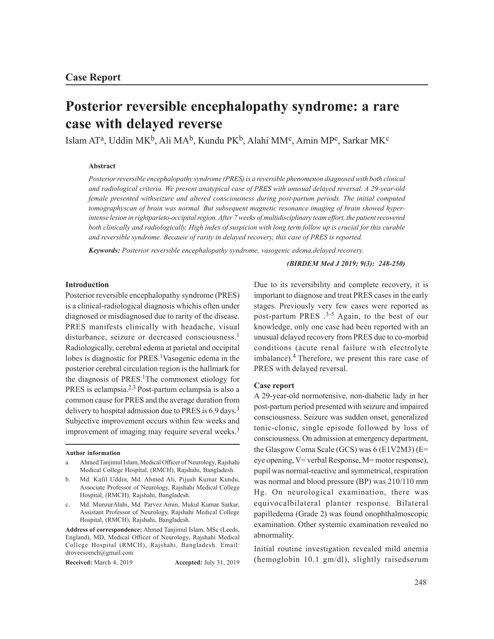# **Posterior reversible encephalopathy syndrome: a rare case with delayed reverse**

Islam AT<sup>a</sup>, Uddin MK<sup>b</sup>, Ali MA<sup>b</sup>, Kundu PK<sup>b</sup>, Alahi MM<sup>c</sup>, Amin MP<sup>c</sup>, Sarkar MK<sup>c</sup>

#### **Abstract**

*Posterior reversible encephalopathy syndrome (PRES) is a reversible phenomenon diagnosed with both clinical and radiological criteria. We present anatypical case of PRES with unusual delayed reversal. A 29-year-old female presented withseizure and altered consciousness during post-partum periods. The initial computed tomographyscan of brain was normal. But subsequent magnetic resonance imaging of brain showed hyperintense lesion in rightparieto-occipital region. After 7 weeks of multidisciplinary team effort, the patient recovered both clinically and radiologically. High index of suspicion with long term follow up is crucial for this curable and reversible syndrome. Because of rarity in delayed recovery, this case of PRES is reported.*

*Keywords: Posterior reversible encephalopathy syndrome, vasogenic edema,delayed recovery.*

*(BIRDEM Med J 2019; 9(3): 248-250)*

## **Introduction**

Posterior reversible encephalopathy syndrome (PRES) is a clinical-radiological diagnosis whichis often under diagnosed or misdiagnosed due to rarity of the disease. PRES manifests clinically with headache, visual disturbance, seizure or decreased consciousness.<sup>1</sup> Radiologically, cerebral edema at parietal and occipital lobes is diagnostic for PRES.<sup>1</sup>Vasogenic edema in the posterior cerebral circulation region is the hallmark for the diagnosis of PRES.<sup>1</sup>The commonest etiology for PRES is eclampsia.<sup>2,3</sup> Post-partum eclampsia is also a common cause for PRES and the average duration from delivery to hospital admission due to PRES is  $6.9 \text{ days}^3$ Subjective improvement occurs within few weeks and improvement of imaging may require several weeks.<sup>3</sup>

**Received:** March 4, 2019 **Accepted:** July 31, 2019

Due to its reversibility and complete recovery, it is important to diagnose and treat PRES cases in the early stages. Previously very few cases were reported as post-partum PRES .3-5 Again, to the best of our knowledge, only one case had been reported with an unusual delayed recovery from PRES due to co-morbid conditions (acute renal failure with electrolyte imbalance).4 Therefore, we present this rare case of PRES with delayed reversal.

### **Case report**

A 29-year-old normotensive, non-diabetic lady in her post-partum period presented with seizure and impaired consciousness. Seizure was sudden onset, generalized tonic-clonic, single episode followed by loss of consciousness. On admission at emergency department, the Glasgow Coma Scale (GCS) was 6 (E1V2M3) (E= eye opening, V= verbal Response, M= motor response), pupil was normal-reactive and symmetrical, respiration was normal and blood pressure (BP) was 210/110 mm Hg. On neurological examination, there was equivocalbilateral planter response. Bilateral papilledema (Grade 2) was found onophthalmoscopic examination. Other systemic examination revealed no abnormality.

Initial routine investigation revealed mild anemia (hemoglobin 10.1 gm/dl), slightly raisedserum

**Author information**

a. Ahmed Tanjimul Islam, Medical Officer of Neurology, Rajshahi Medical College Hospital, (RMCH), Rajshahi, Bangladesh.

b. Md. Kafil Uddin, Md. Ahmed Ali, Pijush Kumar Kundu, Associate Professor of Neurology, Rajshahi Medical College Hospital, (RMCH), Rajshahi, Bangladesh.

Md. MunzurAlahi, Md. Parvez Amin, Mukul Kumar Sarkar, Assistant Professor of Neurology, Rajshahi Medical College Hospital, (RMCH), Rajshahi, Bangladesh.

**Address of correspondence:** Ahmed Tanjimul Islam, MSc (Leeds, England), MD, Medical Officer of Neurology, Rajshahi Medical College Hospital (RMCH), Rajshahi, Bangladesh. Email: droveesomch@gmail.com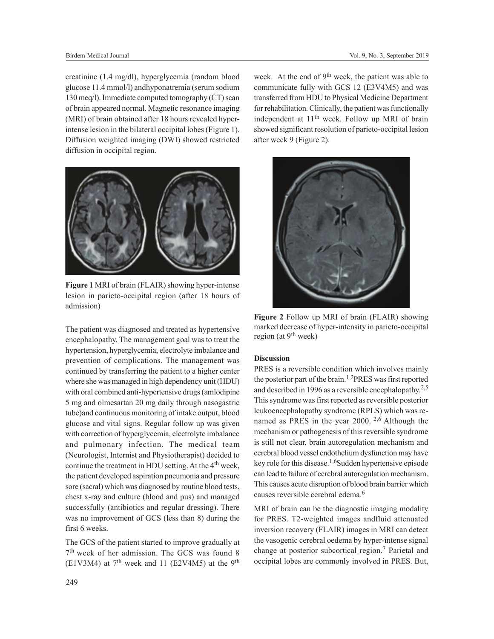creatinine (1.4 mg/dl), hyperglycemia (random blood glucose 11.4 mmol/l) andhyponatremia (serum sodium 130 meq/l). Immediate computed tomography (CT) scan of brain appeared normal. Magnetic resonance imaging (MRI) of brain obtained after 18 hours revealed hyperintense lesion in the bilateral occipital lobes (Figure 1). Diffusion weighted imaging (DWI) showed restricted diffusion in occipital region.



**Figure 1** MRI of brain (FLAIR) showing hyper-intense lesion in parieto-occipital region (after 18 hours of admission)

The patient was diagnosed and treated as hypertensive encephalopathy. The management goal was to treat the hypertension, hyperglycemia, electrolyte imbalance and prevention of complications. The management was continued by transferring the patient to a higher center where she was managed in high dependency unit (HDU) with oral combined anti-hypertensive drugs (amlodipine 5 mg and olmesartan 20 mg daily through nasogastric tube)and continuous monitoring of intake output, blood glucose and vital signs. Regular follow up was given with correction of hyperglycemia, electrolyte imbalance and pulmonary infection. The medical team (Neurologist, Internist and Physiotherapist) decided to continue the treatment in HDU setting. At the 4<sup>th</sup> week, the patient developed aspiration pneumonia and pressure sore (sacral) which was diagnosed by routine blood tests, chest x-ray and culture (blood and pus) and managed successfully (antibiotics and regular dressing). There was no improvement of GCS (less than 8) during the first 6 weeks.

The GCS of the patient started to improve gradually at 7 th week of her admission. The GCS was found 8 (E1V3M4) at  $7<sup>th</sup>$  week and 11 (E2V4M5) at the 9<sup>th</sup> week. At the end of 9<sup>th</sup> week, the patient was able to communicate fully with GCS 12 (E3V4M5) and was transferred from HDU to Physical Medicine Department for rehabilitation. Clinically, the patient was functionally independent at 11<sup>th</sup> week. Follow up MRI of brain showed significant resolution of parieto-occipital lesion after week 9 (Figure 2).



**Figure 2** Follow up MRI of brain (FLAIR) showing marked decrease of hyper-intensity in parieto-occipital region (at  $9<sup>th</sup>$  week)

# **Discussion**

PRES is a reversible condition which involves mainly the posterior part of the brain.1,2PRES was first reported and described in 1996 as a reversible encephalopathy.<sup>2,5</sup> This syndrome was first reported as reversible posterior leukoencephalopathy syndrome (RPLS) which was renamed as PRES in the year 2000. 2,6 Although the mechanism or pathogenesis of this reversible syndrome is still not clear, brain autoregulation mechanism and cerebral blood vessel endothelium dysfunction may have key role for this disease.<sup>1,6</sup>Sudden hypertensive episode can lead to failure of cerebral autoregulation mechanism. This causes acute disruption of blood brain barrier which causes reversible cerebral edema.<sup>6</sup>

MRI of brain can be the diagnostic imaging modality for PRES. T2-weighted images andfluid attenuated inversion recovery (FLAIR) images in MRI can detect the vasogenic cerebral oedema by hyper-intense signal change at posterior subcortical region.<sup>7</sup> Parietal and occipital lobes are commonly involved in PRES. But,